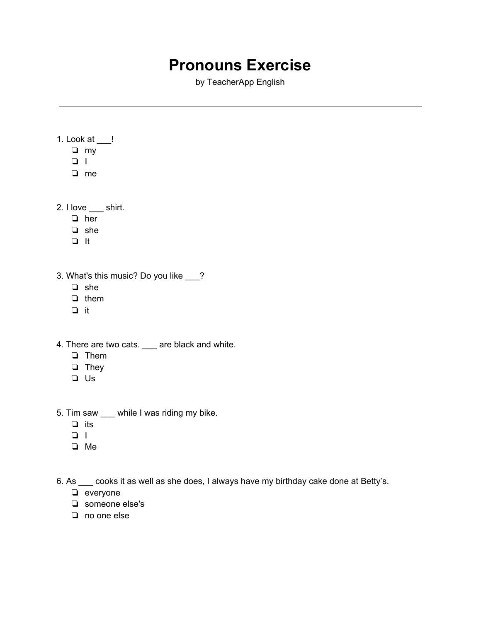## **Pronouns Exercise**

by TeacherApp English

1. Look at \_\_\_! ❏ my ❏ I ❏ me

2. I love \_\_\_ shirt.

- ❏ her
- ❏ she
- ❏ It
- 3. What's this music? Do you like \_\_\_?
	- ❏ she
	- ❏ them
	- ❏ it
- 4. There are two cats. \_\_\_ are black and white.
	- ❏ Them
	- ❏ They
	- ❏ Us
- 5. Tim saw \_\_\_ while I was riding my bike.
	- ❏ its
	- ❏ I
	- ❏ Me

6. As \_\_\_ cooks it as well as she does, I always have my birthday cake done at Betty's.

- ❏ everyone
- ❏ someone else's
- ❏ no one else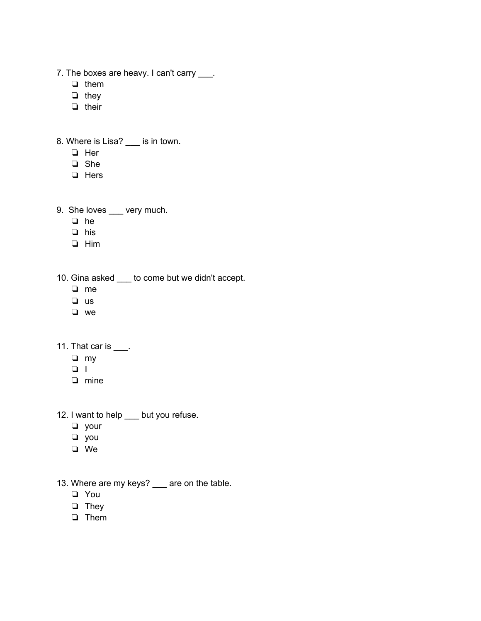- 7. The boxes are heavy. I can't carry \_\_\_.
	- ❏ them
	- ❏ they
	- ❏ their
- 8. Where is Lisa? \_\_\_ is in town.
	- ❏ Her
	- ❏ She
	- ❏ Hers
- 9. She loves \_\_\_ very much.
	- ❏ he
	- ❏ his
	- ❏ Him
- 10. Gina asked \_\_\_ to come but we didn't accept.
	- ❏ me
	- ❏ us
	- ❏ we
- 11. That car is  $\frac{1}{\sqrt{1-\frac{1}{n}}}$ .
	- ❏ my
	- $\Box$  I
	- ❏ mine
- 12. I want to help \_\_\_ but you refuse.
	- ❏ your
	- ❏ you
	- ❏ We
- 13. Where are my keys? \_\_ are on the table.
	- ❏ You
	- ❏ They
	- ❏ Them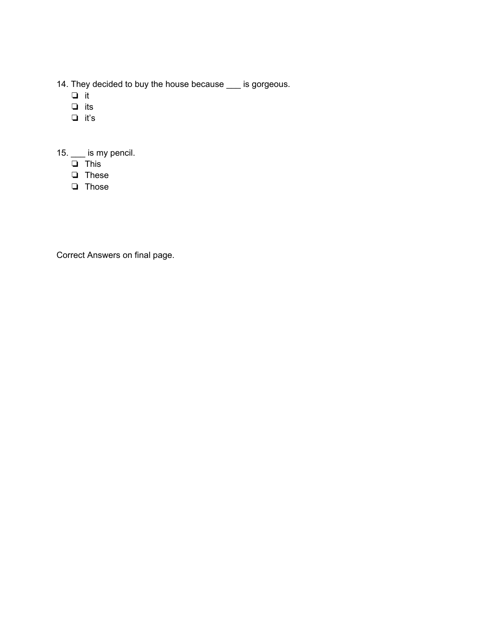- 14. They decided to buy the house because \_\_\_ is gorgeous.
	- ❏ it
	- ❏ its
	- ❏ it's

15. \_\_\_ is my pencil.

- ❏ This
- ❏ These
- ❏ Those

Correct Answers on final page.